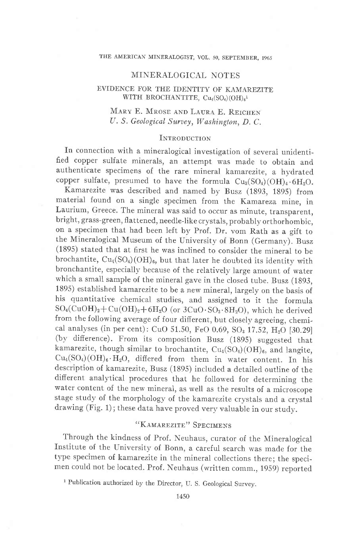### THE AMERICAN MINERALOGIST, VOL, 50, SEPTEMBER, 1965

## MINERALOGICAL NOTES

## EVIDENCE FOR THE IDENTITY OF KAMAREZITE WITH BROCHANTITE,  $Cu_4(SO<sub>4</sub>)(OH)<sub>6</sub><sup>1</sup>$

# MARY E. MROSE AND LAURA E. REICHEN U. S. Geological Suruey, Washington, D. C.

## INTRODUCTION

In connection with a mineralogical investigation of several unidentified copper sulfate minerals, an attempt was made to obtain and authenticate specimens of the rare mineral kamarezite, a hydrated copper sulfate, presumed to have the formula  $Cu_3(SO_4)(OH)_4.6H_2O$ .

Kamarezite was described and named by Busz (1893, 1895) from materiai found on a single specimen from the Kamareza, mine, in Laurium, Greece. The mineral was said to occur as minute, transparent, bright, grass-green, flattened, needle-like crystals, probably orthorhombic, on a specimen that had been ieft by prof. Dr. vom Rath as a gift to the Mineralogical Museum of the University of Bonn (Germany). Busz (1895) stated that at first he was inclined to consider the mineral to be brochantite,  $Cu_4(SO_4)(OH)_6$ , but that later he doubted its identity with bronchantite, especially because of the relativelv large amount of water which a small sample of the mineral gave in the closed tube. Busz (1893, 1895) established kamarezite to be a new mineral, largely on the basis of his quantitative chemical studies, and assigned to it the formula  $SO_4(CuOH)_2+Cu(OH)_2+6H_2O$  (or  $3CuO·SO_3·8H_2O$ ), which he derived from the following average of four different, but closely agreeing, chemical analyses (in per cent): CuO 51.50, FeO 0.69, SO<sub>3</sub> 17.52, H<sub>2</sub>O [30.29] (bv difference). From its composition Busz (1895) suggested that kamarezite, though similar to brochantite,  $Cu_{4}(SO_{4})(OH)_{6}$ , and langite,  $Cu_4(SO_4)(OH)_6 \cdot H_2O$ , differed from them in water content. In his description of kamarezite, Busz (1895) included a detailed outline of the different analytical procedures that he followed for determining the water content of the new mineral, as well as the results of a microscope stage study of the morphology of the kamarezite crvstals and a crystal drawing (Fig. 1); these data have proved very valuable in our study.

# "KAMAREZITE" SPECIMENS

Through the kindness of Prof. Neuhaus, curator of the Mineralogical Institute of the University of Bonn, a careful search was made for the type specimen of kamarezite in the mineral collections there; the specimen could not be iocated. Prof. Neuhaus (written comm., 1959) reported

<sup>&</sup>lt;sup>1</sup> Publication authorized by the Director, U. S. Geological Survey.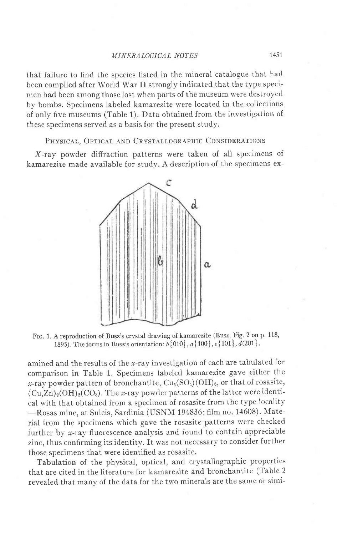that failure to find the species listed in the mineral catalogue that had been compiled after Worid War II strongly indicated that the type specimen had been among those lost when parts of the museum were destroyed by bombs. Specimens labeled kamarezite were located in the collections of only five museums (Table 1). Data obtained from the investigation of these specimens served as a basis for the present study.

PHYSICAL, OPTICAL AND CRYSTALLOGRAPHIC CONSIDERATIONS

X-ray powder diffraction patterns were taken of all specimens of kamarezite made available for study. A description of the specimens ex-



FIG. 1. A reproduction of Busz's crystal drawing of kamarezite (Busz, Fig. 2 on p. 118, 1895). The forms in Busz's orientation:  $b\{010\}$ ,  $a\{100\}$ ,  $c\{101\}$ ,  $d(201)$ .

amined and the results of the  $x$ -ray investigation of each are tabulated for comparison in Table 1. Specimens iabeled kamarezite gave either the x-ray powder pattern of bronchantite,  $Cu_4(SO_4)(OH)_{6}$ , or that of rosasite,  $(Cu,Zn)_2(OH)_2(CO_3)$ . The x-ray powder patterns of the latter were identical with that obtained from a specimen of rosasite from the type locality -Rosas mine, at Sulcis, Sardinia (USNM 194836; film no. 14608). Material from the specimens which gave the rosasite patterns were checked further by x-ray fluorescence analysis and found to contain appreciable zinc, thus confirming its identity. It was not necessary to consider further those specimens that were identified as rosasite.

Tabulation of the physical, optical, and crystallographic properties that are cited in the literature for kamarezite and bronchantite (Table 2 revealed that manv of the data for the two minerals are the same or simi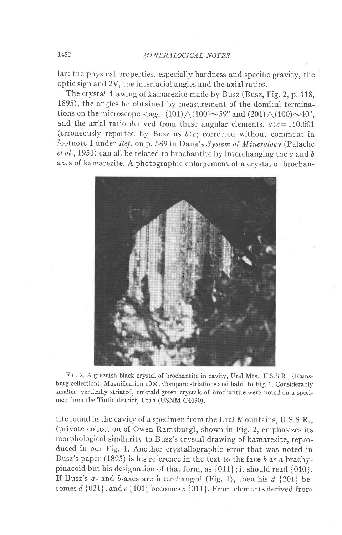lar: the physical properties, especially hardness and specific gravity, the optic sign and 2V, the interfacial angies and the axial ratios.

The crystal drawing of kamarezite made by Busz (Busz, Fig. 2, p. 118, 1895), the angles he obtained by measurement of the domical terminations on the microscope stage,  $(101)\wedge (100){\sim}59^\mathrm{o}$  and  $(201)\wedge (100){\sim}40^\mathrm{o}$ , and the axial ratio derived from these angular elements,  $a:c=1:0.601$ (erroneously reported by Busz as  $b:c$ ; corrected without comment in footnote 1 under Ref. on p. 589 in Dana's System of Mineralogy (Palache  $et al., 1951$  can all be related to brochantite by interchanging the  $a$  and  $b$ axes of kamarezite. A photographic enlargement of a crystal of brochan-



Frc. 2. A greenish-black crystal of brochantite in cavity, Ural Mts., U.S.S.R., (Ramsburg collection). Magnification 10X. Compare striations and habit to Fig. 1. Considerably smaller, vertically striated, emerald-green crystals of brochantite were noted on a specimen from the Tintic district, Utah (USNM C4630).

tite found in the cavity of a specimen from the Ural Mountains, U.S.S.R., (private collection of Owen Ramsburg), shown in Fig. 2, emphasizes its morphological similarity to Busz's crystal drawing of kamarezite, reproduced in our Fig. 1. Another crystallographic error that was noted in Busz's paper (1895) is his reference in the text to the face  $b$  as a brachypinacoid but his designation of that form, as {011} ; it should read {010}. If Busz's  $a$ - and  $b$ -axes are interchanged (Fig. 1), then his  $d$  {201} becomes  $d$  {021}, and  $c$  {101} becomes  $c$  {011}. From elements derived from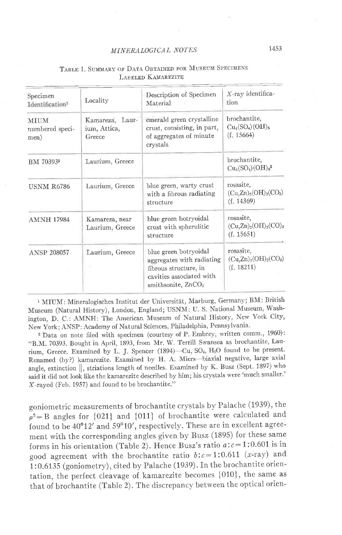### MINERALOGICAL NOTES

| Specimen<br>Identification <sup>1</sup> | Locality                                  | Description of Specimen<br>Material                                                                                             | $X$ -ray identifica-<br>tion<br>brochantite,<br>$Cu_4(SO_4)(OH)_{6}$<br>(f. 15664) |  |
|-----------------------------------------|-------------------------------------------|---------------------------------------------------------------------------------------------------------------------------------|------------------------------------------------------------------------------------|--|
| <b>MIIIM</b><br>numbered speci-<br>men) | Kamareza, Laur-<br>ium, Attica,<br>Greece | emerald green crystalline<br>crust, consisting, in part,<br>of aggregates of minute<br>crystals                                 |                                                                                    |  |
| BM 70393 <sup>2</sup>                   | Laurium, Greece                           |                                                                                                                                 | brochantite,<br>$Cu_4(SO_4)(OH)_6^2$                                               |  |
| <b>USNM R6786</b>                       | Laurium, Greece                           | blue green, warty crust<br>with a fibrous radiating<br>structure                                                                | rosasite,<br>$(Cu,Zn)_{2}(OH)_{2}(CO_{3})$<br>(f. 14369)                           |  |
| <b>AMNH 17984</b>                       | Kamareza, near<br>Laurium, Greece         | blue green botryoidal<br>crust with spherulitic<br>structure                                                                    | rosasite,<br>$(Cu,Zn)_{2}(OH)_{2}(CO)_{3}$<br>(f. 15651)                           |  |
| Laurium, Greece<br><b>ANSP 208057</b>   |                                           | blue green botryoidal<br>aggregates with radiating<br>fibrous structure, in<br>cavities associated with<br>smithsonite, $ZnCO3$ | rosasite,<br>$(Cu,Zn)_{2}(OH)_{2}(CO_{3})$<br>(f. 18211)                           |  |

## TABLE 1. SUMMARY OF DATA OBTAINED FOR MUSEUM SPECIMENS LABELED KAMAREZITE

<sup>1</sup> MIUM: Mineralogisches Institut der Universität, Marburg, Germany; BM: British Museum (Natural History), London, England; USNM: U. S. National Museum, Washington, D. C.: AMNH: The American Museum of Natural History, New York City, New York; ANSP: Academy of Natural Sciences, Philadelphia, Pennsylvania.

<sup>2</sup> Data on note filed with specimen (courtesy of P. Embrey, written comm., 1960): "B.M. 70393. Bought in April, 1893, from Mr. W. Terrill Swansea as brochantite, Laurium, Greece. Examined by L. J. Spencer (1894)-Cu, SO<sub>4</sub>, H<sub>2</sub>O found to be present. Renamed (by?) kamarezite. Examined by H. A. Miers-biaxial negative, large axial angle, extinction ||, striations length of needles. Examined by K. Busz (Sept. 1897) who said it did not look like the kamarezite described by him; his crystals were 'much smaller.' X-rayed (Feb. 1957) and found to be brochantite."

goniometric measurements of brochantite crystals by Palache (1939), the  $\rho^2 = B$  angles for {021} and {011} of brochantite were calculated and found to be 40°12' and 59°10', respectively. These are in excellent agreement with the corresponding angles given by Busz (1895) for these same forms in his orientation (Table 2). Hence Busz's ratio  $a$ : $c = 1$ :0.601 is in good agreement with the brochantite ratio  $b:c=1:0.611$  (x-ray) and 1:0.6135 (goniometry), cited by Palache (1939). In the brochantite orientation, the perfect cleavage of kamarezite becomes {010}, the same as that of brochantite (Table 2). The discrepancy between the optical orien-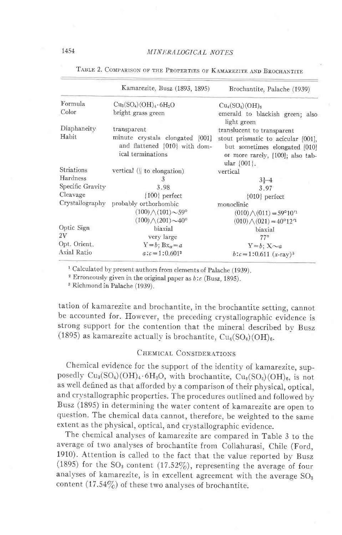|                  | Kamarezite, Busz (1893, 1895)                                                         | Brochantite, Palache (1939)                                                                                                 |  |  |  |
|------------------|---------------------------------------------------------------------------------------|-----------------------------------------------------------------------------------------------------------------------------|--|--|--|
| Formula          | $Cu3(SO4)(OH)4·6H2O$                                                                  | $Cu_4(SO_4)(OH)_{6}$                                                                                                        |  |  |  |
| Color            | bright grass green                                                                    | emerald to blackish green; also<br>light green                                                                              |  |  |  |
| Diaphaneity      | transparent                                                                           | translucent to transparent                                                                                                  |  |  |  |
| Habit            | minute crystals elongated [001]<br>and flattened {010} with dom-<br>ical terminations | stout prismatic to acicular [001].<br>but sometimes elongated [010]<br>or more rarely, [100]; also tab-<br>ular $\{001\}$ . |  |  |  |
| Striations       | vertical $($ to elongation)                                                           | vertical                                                                                                                    |  |  |  |
| Hardness         | 3                                                                                     | $3\frac{1}{2}-4$                                                                                                            |  |  |  |
| Specific Gravity | 3.98                                                                                  | 3.97                                                                                                                        |  |  |  |
| Cleavage         | ${100}$ perfect                                                                       | $ 010 $ perfect                                                                                                             |  |  |  |
|                  | Crystallography probably orthorhombic                                                 | monoclinic                                                                                                                  |  |  |  |
|                  | $(100) \wedge (101) \sim 59^{\circ}$                                                  | $(010) \wedge (011) = 59^{\circ}10^{11}$                                                                                    |  |  |  |
|                  | $(100)/(201)$ ~40°                                                                    | $(010) \wedge (021) = 40^{\circ}12^{\prime}1$                                                                               |  |  |  |
| Optic Sign       | biaxial                                                                               | biaxial                                                                                                                     |  |  |  |
| 2V               | very large                                                                            | $77^{\circ}$                                                                                                                |  |  |  |
| Opt. Orient.     | $Y = b$ ; $Bx_{\alpha} = a$                                                           | $Y = b$ ; $X \sim a$                                                                                                        |  |  |  |
| Axial Ratio      | $a:c=1:0.601^2$                                                                       | $b:c=1:0.611~(x-ray)^3$                                                                                                     |  |  |  |

TABLE 2. COMPARISON OF THE PROPERTIES OF KAMAREZITE AND BROCHANTITE

<sup>1</sup> Calculated by present authors from elements of Palache (1939).

<sup>2</sup> Erroneously given in the original paper as  $b$ :  $c$  (Busz, 1895).

<sup>3</sup> Richmond in Palache (1939).

tation of kamarezite and brochantite, in the brochantite setting, cannot be accounted for. However, the preceding crystallographic evidence is strong support for the contention that the mineral described by Busz (1895) as kamarezite actually is brochantite,  $Cu<sub>4</sub>(SO<sub>4</sub>)(OH)<sub>6</sub>$ .

## CHEMICAL CONSIDERATIONS

Chemical evidence for the support of the identity of kamarezite, supposedly  $Cu_3(SO_4)(OH)_4.6H_2O$ , with brochantite,  $Cu_4(SO_4)(OH)_6$ , is not as well defined as that afforded by a comparison of their physical, optical, and crystallographic properties. The procedures outlined and followed by Busz (1895) in determining the water content of kamarezite are open to question. The chemical data cannot, therefore, be weighted to the same extent as the physical, optical, and crystallographic evidence.

The chemical analyses of kamarezite are compared in Table 3 to the average of two analyses of brochantite from Collahurasi, Chile (Ford, 1910). Attention is called to the fact that the value reported by Busz (1895) for the SO<sub>3</sub> content (17.52%), representing the average of four analyses of kamarezite, is in excellent agreement with the average SO<sub>3</sub> content (17.54%) of these two analyses of brochantite.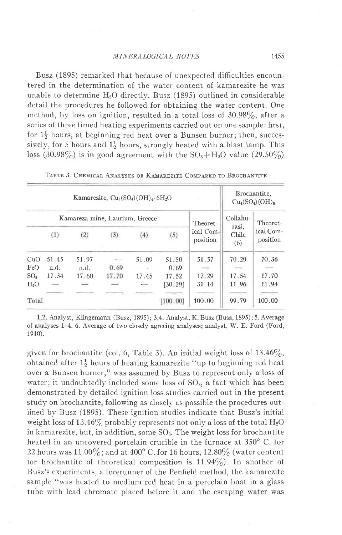Busz (1895) remarked that because of unexpected difficulties encountered in the determination of the water content of kamarezite he was unable to determine  $H_2O$  directly. Busz (1895) outlined in considerable detail the procedures he followed for obtaining the water content. One method, by loss on ignition, resulted in a total loss of 30.98%, after a series of three timed heating experiments carried out on one sample: first, for  $1\frac{1}{2}$  hours, at beginning red heat over a Bunsen burner; then, successively, for 5 hours and  $1\frac{1}{2}$  hours, strongly heated with a blast lamp. This loss (30.98%) is in good agreement with the  $SO_3 + H_2O$  value (29.50%)

| Kamarezite, $Cu_3(SO_4)(OH)_4.6H_2O$ |       |       |        |       |          | Brochantite.<br>$Cu_4(SO_4)(OH)_{6}$                                                           |                                                                                                                                                                                                                                                                                                                                                                                                                                                                            |                       |
|--------------------------------------|-------|-------|--------|-------|----------|------------------------------------------------------------------------------------------------|----------------------------------------------------------------------------------------------------------------------------------------------------------------------------------------------------------------------------------------------------------------------------------------------------------------------------------------------------------------------------------------------------------------------------------------------------------------------------|-----------------------|
| Kamareza mine, Laurium, Greece       |       |       |        |       |          | Theoret-                                                                                       | Collahu-                                                                                                                                                                                                                                                                                                                                                                                                                                                                   | Theoret-              |
|                                      | (1)   | (2)   | (3)    | (4)   | (5)      | ical Com-<br>position                                                                          | rasi,<br>Chile<br>(6)                                                                                                                                                                                                                                                                                                                                                                                                                                                      | ical Com-<br>position |
| CuO                                  | 51.45 | 51.97 | $\sim$ | 51.09 | 51.50    | 51.57                                                                                          | 70.29                                                                                                                                                                                                                                                                                                                                                                                                                                                                      | 70.36                 |
| FeO                                  | n.d.  | n.d.  | 0.69   |       | 0.69     | $\frac{1}{2} \left( \frac{1}{2} \right) \left( \frac{1}{2} \right) \left( \frac{1}{2} \right)$ |                                                                                                                                                                                                                                                                                                                                                                                                                                                                            |                       |
| SO <sub>3</sub>                      | 17.34 | 17.60 | 17.70  | 17.45 | 17.52    | 17.29                                                                                          | 17.54                                                                                                                                                                                                                                                                                                                                                                                                                                                                      | 17.70                 |
| H <sub>2</sub> O                     | $-1$  |       |        |       | [30.29]  | 31.14                                                                                          | 11.96                                                                                                                                                                                                                                                                                                                                                                                                                                                                      | 11.94                 |
|                                      |       |       |        |       |          |                                                                                                | $\frac{1}{2} \left( \frac{1}{2} \right) \left( \frac{1}{2} \right) \left( \frac{1}{2} \right) \left( \frac{1}{2} \right) \left( \frac{1}{2} \right) \left( \frac{1}{2} \right) \left( \frac{1}{2} \right) \left( \frac{1}{2} \right) \left( \frac{1}{2} \right) \left( \frac{1}{2} \right) \left( \frac{1}{2} \right) \left( \frac{1}{2} \right) \left( \frac{1}{2} \right) \left( \frac{1}{2} \right) \left( \frac{1}{2} \right) \left( \frac{1}{2} \right) \left( \frac$ |                       |
| Total                                |       |       |        |       | [100.00] | 100.00                                                                                         | 99.79                                                                                                                                                                                                                                                                                                                                                                                                                                                                      | 100.00                |

TABLE 3. CHEMICAL ANALYSES OF KAMAREZITE COMPARED TO BROCHANTITE

1,2. Analyst, Klingemann (Busz, 1895); 3,4. Analyst, K. Busz (Busz, 1895); 5. Average of analyses 1-4. 6. Average of two closely agreeing analyses; analyst, W. E. Ford (Ford, 1910).

given for brochantite (col. 6, Table 3). An initial weight loss of  $13.46\%$ , obtained after  $1\frac{1}{2}$  hours of heating kamarezite "up to beginning red heat over a Bunsen burner," was assumed by Busz to represent only a loss of water; it undoubtedly included some loss of  $SO<sub>3</sub>$ , a fact which has been demonstrated by detailed ignition loss studies carried out in the present study on brochantite, following as closely as possible the procedures outlined by Busz (1895). These ignition studies indicate that Busz's initial weight loss of 13.46% probably represents not only a loss of the total  $H_2O$ in kamarezite, but, in addition, some SO3. The weight loss for brochantite heated in an uncovered porcelain crucible in the furnace at 350° C. for 22 hours was  $11.00\%$ ; and at  $400^{\circ}$  C. for 16 hours,  $12.80\%$  (water content for brochantite of theoretical composition is  $11.94\%$ ). In another of Busz's experiments, a forerunner of the Penfield method, the kamarezite sample "was heated to medium red heat in a porcelain boat in a glass tube with lead chromate placed before it and the escaping water was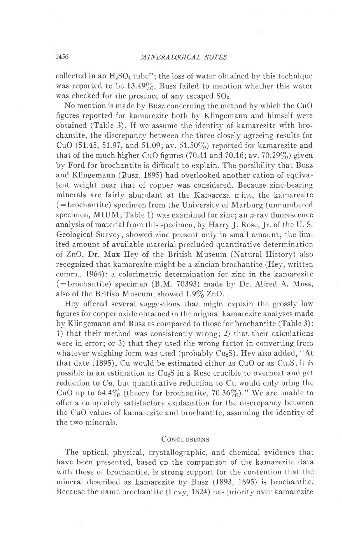collected in an  $H_2SO_4$  tube"; the loss of water obtained by this technique was reported to be  $13.49\%$ . Busz failed to mention whether this water was checked for the presence of any escaped  $SO<sub>3</sub>$ .

No mention is made by Busz concerning the method by which the CuO figures reported for kamarezite both by Klingemann and himself were obtained (Table 3). If we assume the identity of kamarezite with brochantite, the discrepancy between the three ciosely agreeing results for CuO (51.45, 51.97, and 51.09; av. 51.50%) reported for kamarezite and that of the much higher CuO figures (70.41 and 70.16; av. 70.29%) given by Ford for brochantite is difficult to explain. The possibility that Busz and Klingemann (Busz, 1895) had overlooked another cation of equivalent weight near that of copper was considered. Because zinc-bearing minerals are fairly abundant at the Kamareza mine, the kamarezite  $($  = brochantite) specimen from the University of Marburg (unnumbered specimen, MIUM; Table 1) was examined for zinc; an  $x$ -ray fluorescence analysis of material from this specimen, by Harry J. Rose, Jr. of the U. S. Geological Survey, showed zinc present only in small amount; the limited amount of available material precluded quantitative determination of ZnO. Dr. Max Hey of the British Museum (Natural History) also recognized that kamarezite might be a zincian brochantite (Hev, written comm., 1964); a colorimetric determination for zinc in the kamarezite  $(=b$ rochantite) specimen (B.M. 70393) made by Dr. Alfred A. Moss, also of the British Museum, showed  $1.9\%$  ZnO.

Hey offered several suggestions that might explain the grossly low figures for copper oxide obtained in the original kamarezite anaiyses made by Klingemann and Busz as compared to those for brochantite (Table 3): 1) that their method was consistently wrong; 2) that their calculations were in error; or 3) that they used the wrong factor in converting from whatever weighing form was used (probably  $Cu<sub>2</sub>S$ ). Hey also added, "At that date (1895), Cu would be estimated either as CuO or as  $Cu<sub>2</sub>S$ ; it is possible in an estimation as  $Cu<sub>2</sub>S$  in a Rose crucible to overheat and get reduction to  $Cu$ , but quantitative reduction to Cu would only bring the CuO up to 64.4% (theory for brochantite, 70.36%)." We are unable to offer a completely satisfactory explanation for the discrepancy between the CuO values of kamarezite and brochantite, assuming the identity of the two minerals.

### CONCLUSIONS

The optical, physical, crystallographic, and chemical evidence that have been presented, based on the comparison of the kamarezite data with those of brochantite, is strong support for the contention that the mineral described as kamarezite by Busz (1893, 1895) is brochantite. Because the name brochantite (Levy, 1824) has priority over kamarezite